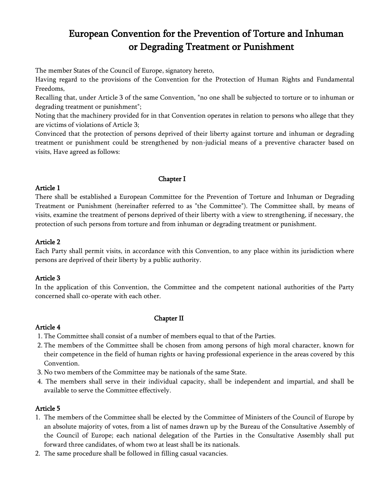# European Convention for the Prevention of Torture and Inhuman or Degrading Treatment or Punishment

The member States of the Council of Europe, signatory hereto,

Having regard to the provisions of the Convention for the Protection of Human Rights and Fundamental Freedoms,

Recalling that, under Article 3 of the same Convention, "no one shall be subjected to torture or to inhuman or degrading treatment or punishment";

Noting that the machinery provided for in that Convention operates in relation to persons who allege that they are victims of violations of Article 3;

Convinced that the protection of persons deprived of their liberty against torture and inhuman or degrading treatment or punishment could be strengthened by non-judicial means of a preventive character based on visits, Have agreed as follows:

# Chapter I

#### Article 1

There shall be established a European Committee for the Prevention of Torture and Inhuman or Degrading Treatment or Punishment (hereinafter referred to as "the Committee"). The Committee shall, by means of visits, examine the treatment of persons deprived of their liberty with a view to strengthening, if necessary, the protection of such persons from torture and from inhuman or degrading treatment or punishment.

# Article 2

Each Party shall permit visits, in accordance with this Convention, to any place within its jurisdiction where persons are deprived of their liberty by a public authority.

# Article 3

In the application of this Convention, the Committee and the competent national authorities of the Party concerned shall co-operate with each other.

#### Article 4

#### Chapter II

- 1. The Committee shall consist of a number of members equal to that of the Parties.
- 2. The members of the Committee shall be chosen from among persons of high moral character, known for their competence in the field of human rights or having professional experience in the areas covered by this Convention.
- 3. No two members of the Committee may be nationals of the same State.
- 4. The members shall serve in their individual capacity, shall be independent and impartial, and shall be available to serve the Committee effectively.

- 1. The members of the Committee shall be elected by the Committee of Ministers of the Council of Europe by an absolute majority of votes, from a list of names drawn up by the Bureau of the Consultative Assembly of the Council of Europe; each national delegation of the Parties in the Consultative Assembly shall put forward three candidates, of whom two at least shall be its nationals.
- 2. The same procedure shall be followed in filling casual vacancies.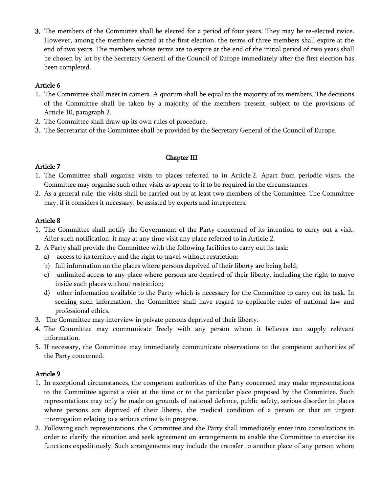3. The members of the Committee shall be elected for a period of four years. They may be re-elected twice. However, among the members elected at the first election, the terms of three members shall expire at the end of two years. The members whose terms are to expire at the end of the initial period of two years shall be chosen by lot by the Secretary General of the Council of Europe immediately after the first election has been completed.

# Article 6

- 1. The Committee shall meet in camera. A quorum shall be equal to the majority of its members. The decisions of the Committee shall be taken by a majority of the members present, subject to the provisions of Article 10, paragraph 2.
- 2. The Committee shall draw up its own rules of procedure.
- 3. The Secretariat of the Committee shall be provided by the Secretary General of the Council of Europe.

# Chapter III

# Article 7

- 1. The Committee shall organise visits to places referred to in Article 2. Apart from periodic visits, the Committee may organise such other visits as appear to it to be required in the circumstances.
- 2. As a general rule, the visits shall be carried out by at least two members of the Committee. The Committee may, if it considers it necessary, be assisted by experts and interpreters.

# Article 8

- 1. The Committee shall notify the Government of the Party concerned of its intention to carry out a visit. After such notification, it may at any time visit any place referred to in Article 2.
- 2. A Party shall provide the Committee with the following facilities to carry out its task:
	- a) access to its territory and the right to travel without restriction;
	- b) full information on the places where persons deprived of their liberty are being held;
	- c) unlimited access to any place where persons are deprived of their liberty, including the right to move inside such places without restriction;
	- d) other information available to the Party which is necessary for the Committee to carry out its task. In seeking such information, the Committee shall have regard to applicable rules of national law and professional ethics.
- 3. The Committee may interview in private persons deprived of their liberty.
- 4. The Committee may communicate freely with any person whom it believes can supply relevant information.
- 5. If necessary, the Committee may immediately communicate observations to the competent authorities of the Party concerned.

- 1. In exceptional circumstances, the competent authorities of the Party concerned may make representations to the Committee against a visit at the time or to the particular place proposed by the Committee. Such representations may only be made on grounds of national defence, public safety, serious disorder in places where persons are deprived of their liberty, the medical condition of a person or that an urgent interrogation relating to a serious crime is in progress.
- 2. Following such representations, the Committee and the Party shall immediately enter into consultations in order to clarify the situation and seek agreement on arrangements to enable the Committee to exercise its functions expeditiously. Such arrangements may include the transfer to another place of any person whom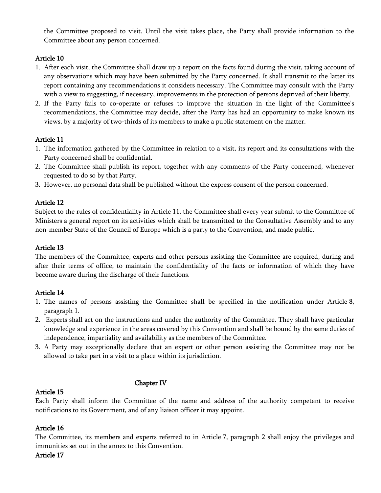the Committee proposed to visit. Until the visit takes place, the Party shall provide information to the Committee about any person concerned.

# Article 10

- 1. After each visit, the Committee shall draw up a report on the facts found during the visit, taking account of any observations which may have been submitted by the Party concerned. It shall transmit to the latter its report containing any recommendations it considers necessary. The Committee may consult with the Party with a view to suggesting, if necessary, improvements in the protection of persons deprived of their liberty.
- 2. If the Party fails to co-operate or refuses to improve the situation in the light of the Committee's recommendations, the Committee may decide, after the Party has had an opportunity to make known its views, by a majority of two-thirds of its members to make a public statement on the matter.

# Article 11

- 1. The information gathered by the Committee in relation to a visit, its report and its consultations with the Party concerned shall be confidential.
- 2. The Committee shall publish its report, together with any comments of the Party concerned, whenever requested to do so by that Party.
- 3. However, no personal data shall be published without the express consent of the person concerned.

#### Article 12

Subject to the rules of confidentiality in Article 11, the Committee shall every year submit to the Committee of Ministers a general report on its activities which shall be transmitted to the Consultative Assembly and to any non-member State of the Council of Europe which is a party to the Convention, and made public.

#### Article 13

The members of the Committee, experts and other persons assisting the Committee are required, during and after their terms of office, to maintain the confidentiality of the facts or information of which they have become aware during the discharge of their functions.

#### Article 14

- 1. The names of persons assisting the Committee shall be specified in the notification under Article 8, paragraph 1.
- 2. Experts shall act on the instructions and under the authority of the Committee. They shall have particular knowledge and experience in the areas covered by this Convention and shall be bound by the same duties of independence, impartiality and availability as the members of the Committee.
- 3. A Party may exceptionally declare that an expert or other person assisting the Committee may not be allowed to take part in a visit to a place within its jurisdiction.

# Chapter IV

#### Article 15

Each Party shall inform the Committee of the name and address of the authority competent to receive notifications to its Government, and of any liaison officer it may appoint.

#### Article 16

The Committee, its members and experts referred to in Article 7, paragraph 2 shall enjoy the privileges and immunities set out in the annex to this Convention.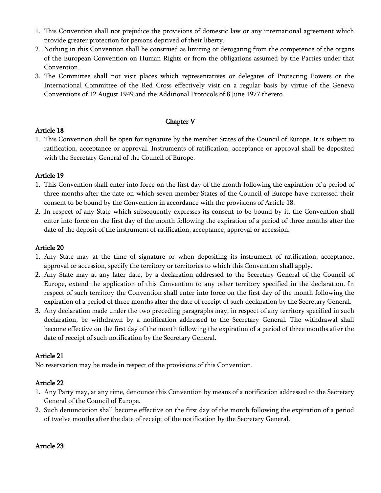- 1. This Convention shall not prejudice the provisions of domestic law or any international agreement which provide greater protection for persons deprived of their liberty.
- 2. Nothing in this Convention shall be construed as limiting or derogating from the competence of the organs of the European Convention on Human Rights or from the obligations assumed by the Parties under that Convention.
- 3. The Committee shall not visit places which representatives or delegates of Protecting Powers or the International Committee of the Red Cross effectively visit on a regular basis by virtue of the Geneva Conventions of 12 August 1949 and the Additional Protocols of 8 June 1977 thereto.

#### Chapter V

#### Article 18

1. This Convention shall be open for signature by the member States of the Council of Europe. It is subject to ratification, acceptance or approval. Instruments of ratification, acceptance or approval shall be deposited with the Secretary General of the Council of Europe.

# Article 19

- 1. This Convention shall enter into force on the first day of the month following the expiration of a period of three months after the date on which seven member States of the Council of Europe have expressed their consent to be bound by the Convention in accordance with the provisions of Article 18.
- 2. In respect of any State which subsequently expresses its consent to be bound by it, the Convention shall enter into force on the first day of the month following the expiration of a period of three months after the date of the deposit of the instrument of ratification, acceptance, approval or accession.

#### Article 20

- 1. Any State may at the time of signature or when depositing its instrument of ratification, acceptance, approval or accession, specify the territory or territories to which this Convention shall apply.
- 2. Any State may at any later date, by a declaration addressed to the Secretary General of the Council of Europe, extend the application of this Convention to any other territory specified in the declaration. In respect of such territory the Convention shall enter into force on the first day of the month following the expiration of a period of three months after the date of receipt of such declaration by the Secretary General.
- 3. Any declaration made under the two preceding paragraphs may, in respect of any territory specified in such declaration, be withdrawn by a notification addressed to the Secretary General. The withdrawal shall become effective on the first day of the month following the expiration of a period of three months after the date of receipt of such notification by the Secretary General.

# Article 21

No reservation may be made in respect of the provisions of this Convention.

- 1. Any Party may, at any time, denounce this Convention by means of a notification addressed to the Secretary General of the Council of Europe.
- 2. Such denunciation shall become effective on the first day of the month following the expiration of a period of twelve months after the date of receipt of the notification by the Secretary General.